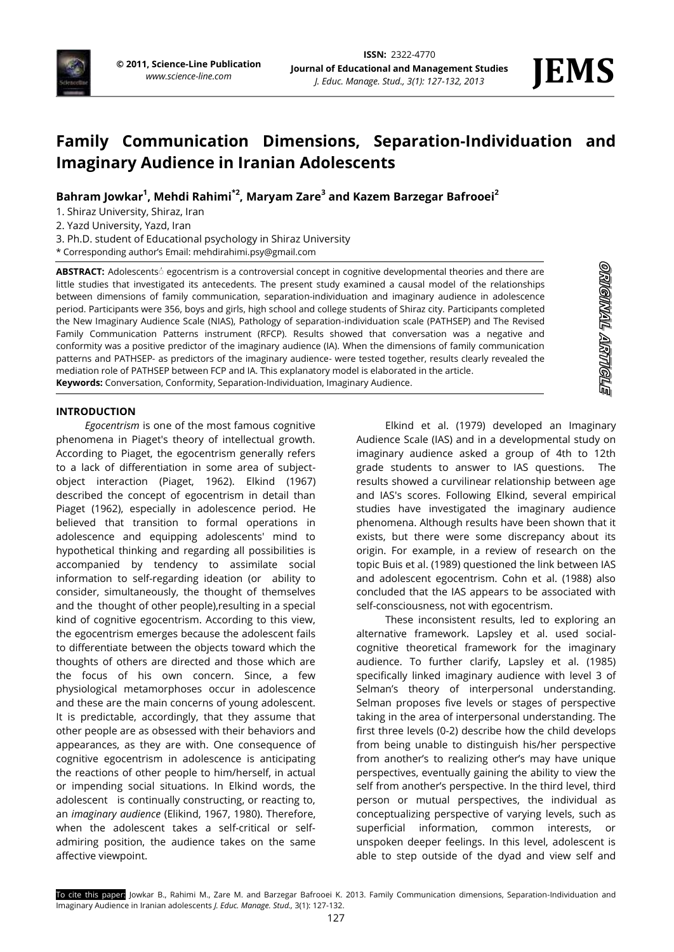

**STRAIGHT TRIMOTE** 

# **Family Communication Dimensions, Separation-Individuation and Imaginary Audience in Iranian Adolescents**

**Bahram Jowkar<sup>1</sup> , Mehdi Rahimi\*2, Maryam Zare<sup>3</sup> and Kazem Barzegar Bafrooei<sup>2</sup>**

1. Shiraz University, Shiraz, Iran

2. Yazd University, Yazd, Iran

3. Ph.D. student of Educational psychology in Shiraz University

\* Corresponding author's Email[: mehdirahimi.psy@gmail.com](mailto:mehdirahimi.psy@gmail.com)

**ABSTRACT:** Adolescentsُ egocentrism is a controversial concept in cognitive developmental theories and there are little studies that investigated its antecedents. The present study examined a causal model of the relationships between dimensions of family communication, separation-individuation and imaginary audience in adolescence period. Participants were 356, boys and girls, high school and college students of Shiraz city. Participants completed the New Imaginary Audience Scale (NIAS), Pathology of separation-individuation scale (PATHSEP) and The Revised Family Communication Patterns instrument (RFCP). Results showed that conversation was a negative and conformity was a positive predictor of the imaginary audience (IA). When the dimensions of family communication patterns and PATHSEP- as predictors of the imaginary audience- were tested together, results clearly revealed the mediation role of PATHSEP between FCP and IA. This explanatory model is elaborated in the article. **Keywords:** Conversation, Conformity, Separation-Individuation, Imaginary Audience.

**INTRODUCTION**

*Egocentrism* is one of the most famous cognitive phenomena in Piaget's theory of intellectual growth. According to Piaget, the egocentrism generally refers to a lack of differentiation in some area of subjectobject interaction (Piaget, 1962). Elkind (1967) described the concept of egocentrism in detail than Piaget (1962), especially in adolescence period. He believed that transition to formal operations in adolescence and equipping adolescents' mind to hypothetical thinking and regarding all possibilities is accompanied by tendency to assimilate social information to self-regarding ideation (or ability to consider, simultaneously, the thought of themselves and the thought of other people),resulting in a special kind of cognitive egocentrism. According to this view, the egocentrism emerges because the adolescent fails to differentiate between the objects toward which the thoughts of others are directed and those which are the focus of his own concern. Since, a few physiological metamorphoses occur in adolescence and these are the main concerns of young adolescent. It is predictable, accordingly, that they assume that other people are as obsessed with their behaviors and appearances, as they are with. One consequence of cognitive egocentrism in adolescence is anticipating the reactions of other people to him/herself, in actual or impending social situations. In Elkind words, the adolescent is continually constructing, or reacting to, an *imaginary audience* (Elikind, 1967, 1980). Therefore, when the adolescent takes a self-critical or selfadmiring position, the audience takes on the same affective viewpoint.

Elkind et al. (1979) developed an Imaginary Audience Scale (IAS) and in a developmental study on imaginary audience asked a group of 4th to 12th grade students to answer to IAS questions. The results showed a curvilinear relationship between age and IAS's scores. Following Elkind, several empirical studies have investigated the imaginary audience phenomena. Although results have been shown that it exists, but there were some discrepancy about its origin. For example, in a review of research on the topic Buis et al. (1989) questioned the link between IAS and adolescent egocentrism. Cohn et al. (1988) also concluded that the IAS appears to be associated with self-consciousness, not with egocentrism.

These inconsistent results, led to exploring an alternative framework. Lapsley et al. used socialcognitive theoretical framework for the imaginary audience. To further clarify, Lapsley et al. (1985) specifically linked imaginary audience with level 3 of Selman's theory of interpersonal understanding. Selman proposes five levels or stages of perspective taking in the area of interpersonal understanding. The first three levels (0-2) describe how the child develops from being unable to distinguish his/her perspective from another's to realizing other's may have unique perspectives, eventually gaining the ability to view the self from another's perspective. In the third level, third person or mutual perspectives, the individual as conceptualizing perspective of varying levels, such as superficial information, common interests, or unspoken deeper feelings. In this level, adolescent is able to step outside of the dyad and view self and

To cite this paper: Jowkar B., Rahimi M., Zare M. and Barzegar Bafrooei K. 2013. Family Communication dimensions, Separation-Individuation and Imaginary Audience in Iranian adolescents *J. Educ. Manage. Stud.,* 3(1): 127-132.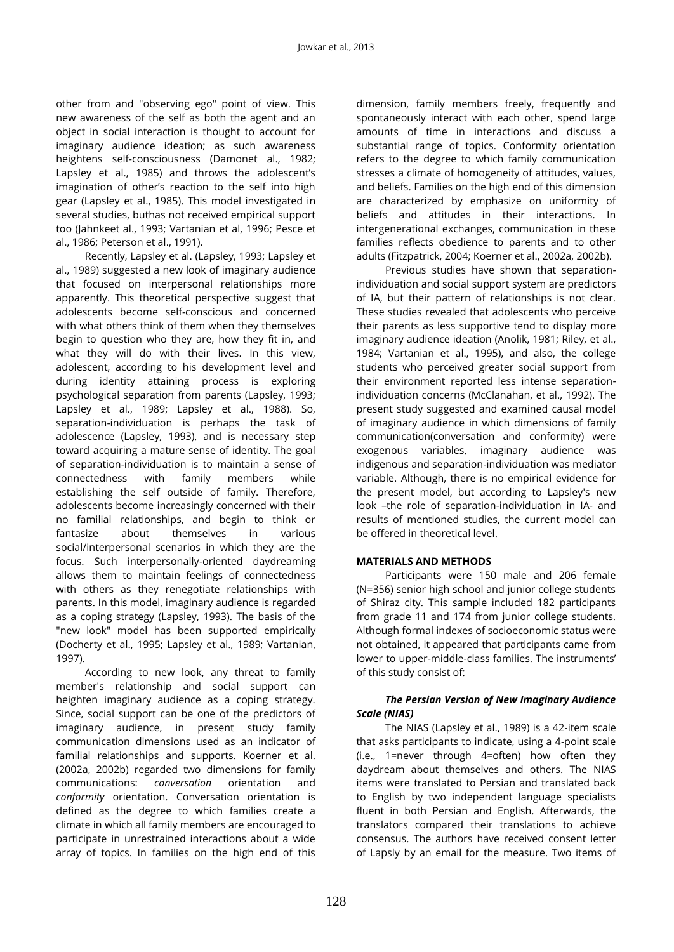other from and "observing ego" point of view. This new awareness of the self as both the agent and an object in social interaction is thought to account for imaginary audience ideation; as such awareness heightens self-consciousness (Damonet al., 1982; Lapsley et al., 1985) and throws the adolescent's imagination of other's reaction to the self into high gear (Lapsley et al., 1985). This model investigated in several studies, buthas not received empirical support too (Jahnkeet al., 1993; Vartanian et al, 1996; Pesce et al., 1986; Peterson et al., 1991).

Recently, Lapsley et al. (Lapsley, 1993; Lapsley et al., 1989) suggested a new look of imaginary audience that focused on interpersonal relationships more apparently. This theoretical perspective suggest that adolescents become self-conscious and concerned with what others think of them when they themselves begin to question who they are, how they fit in, and what they will do with their lives. In this view, adolescent, according to his development level and during identity attaining process is exploring psychological separation from parents (Lapsley, 1993; Lapsley et al., 1989; Lapsley et al., 1988). So, separation-individuation is perhaps the task of adolescence (Lapsley, 1993), and is necessary step toward acquiring a mature sense of identity. The goal of separation-individuation is to maintain a sense of connectedness with family members while establishing the self outside of family. Therefore, adolescents become increasingly concerned with their no familial relationships, and begin to think or fantasize about themselves in various social/interpersonal scenarios in which they are the focus. Such interpersonally-oriented daydreaming allows them to maintain feelings of connectedness with others as they renegotiate relationships with parents. In this model, imaginary audience is regarded as a coping strategy (Lapsley, 1993). The basis of the "new look" model has been supported empirically (Docherty et al., 1995; Lapsley et al., 1989; Vartanian, 1997).

According to new look, any threat to family member's relationship and social support can heighten imaginary audience as a coping strategy. Since, social support can be one of the predictors of imaginary audience, in present study family communication dimensions used as an indicator of familial relationships and supports. Koerner et al. (2002a, 2002b) regarded two dimensions for family communications: *conversation* orientation and *conformity* orientation. Conversation orientation is defined as the degree to which families create a climate in which all family members are encouraged to participate in unrestrained interactions about a wide array of topics. In families on the high end of this

dimension, family members freely, frequently and spontaneously interact with each other, spend large amounts of time in interactions and discuss a substantial range of topics. Conformity orientation refers to the degree to which family communication stresses a climate of homogeneity of attitudes, values, and beliefs. Families on the high end of this dimension are characterized by emphasize on uniformity of beliefs and attitudes in their interactions. In intergenerational exchanges, communication in these families reflects obedience to parents and to other adults (Fitzpatrick, 2004; Koerner et al., 2002a, 2002b).

Previous studies have shown that separationindividuation and social support system are predictors of IA, but their pattern of relationships is not clear. These studies revealed that adolescents who perceive their parents as less supportive tend to display more imaginary audience ideation (Anolik, 1981; Riley, et al., 1984; Vartanian et al., 1995), and also, the college students who perceived greater social support from their environment reported less intense separationindividuation concerns (McClanahan, et al., 1992). The present study suggested and examined causal model of imaginary audience in which dimensions of family communication(conversation and conformity) were exogenous variables, imaginary audience was indigenous and separation-individuation was mediator variable. Although, there is no empirical evidence for the present model, but according to Lapsley's new look –the role of separation-individuation in IA- and results of mentioned studies, the current model can be offered in theoretical level.

### **MATERIALS AND METHODS**

Participants were 150 male and 206 female (N=356) senior high school and junior college students of Shiraz city. This sample included 182 participants from grade 11 and 174 from junior college students. Although formal indexes of socioeconomic status were not obtained, it appeared that participants came from lower to upper-middle-class families. The instruments' of this study consist of:

# *The Persian Version of New Imaginary Audience Scale (NIAS)*

The NIAS (Lapsley et al., 1989) is a 42-item scale that asks participants to indicate, using a 4-point scale (i.e., 1=never through 4=often) how often they daydream about themselves and others. The NIAS items were translated to Persian and translated back to English by two independent language specialists fluent in both Persian and English. Afterwards, the translators compared their translations to achieve consensus. The authors have received consent letter of Lapsly by an email for the measure. Two items of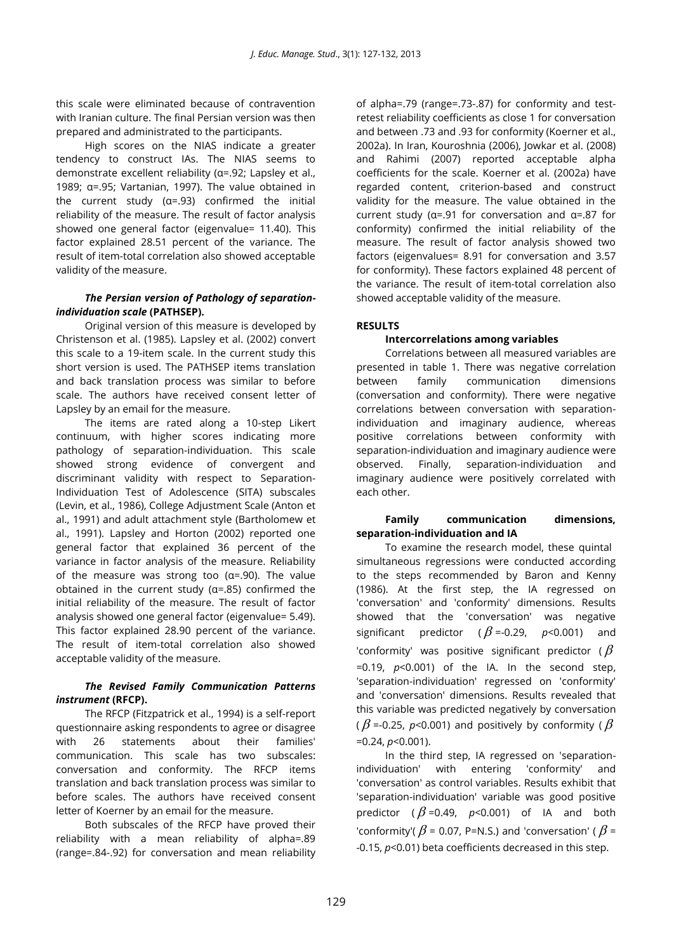this scale were eliminated because of contravention with Iranian culture. The final Persian version was then prepared and administrated to the participants.

High scores on the NIAS indicate a greater tendency to construct IAs. The NIAS seems to demonstrate excellent reliability (α=.92; Lapsley et al., 1989; α=.95; Vartanian, 1997). The value obtained in the current study (α=.93) confirmed the initial reliability of the measure. The result of factor analysis showed one general factor (eigenvalue= 11.40). This factor explained 28.51 percent of the variance. The result of item-total correlation also showed acceptable validity of the measure.

# *The Persian version of Pathology of separationindividuation scale* **(PATHSEP).**

Original version of this measure is developed by Christenson et al. (1985). Lapsley et al. (2002) convert this scale to a 19-item scale. In the current study this short version is used. The PATHSEP items translation and back translation process was similar to before scale. The authors have received consent letter of Lapsley by an email for the measure.

The items are rated along a 10-step Likert continuum, with higher scores indicating more pathology of separation-individuation. This scale showed strong evidence of convergent and discriminant validity with respect to Separation-Individuation Test of Adolescence (SITA) subscales (Levin, et al., 1986), College Adjustment Scale (Anton et al., 1991) and adult attachment style (Bartholomew et al., 1991). Lapsley and Horton (2002) reported one general factor that explained 36 percent of the variance in factor analysis of the measure. Reliability of the measure was strong too (α=.90). The value obtained in the current study (α=.85) confirmed the initial reliability of the measure. The result of factor analysis showed one general factor (eigenvalue= 5.49). This factor explained 28.90 percent of the variance. The result of item-total correlation also showed acceptable validity of the measure.

# *The Revised Family Communication Patterns instrument* **(RFCP).**

The RFCP (Fitzpatrick et al., 1994) is a self-report questionnaire asking respondents to agree or disagree with 26 statements about their families' communication. This scale has two subscales: conversation and conformity. The RFCP items translation and back translation process was similar to before scales. The authors have received consent letter of Koerner by an email for the measure.

Both subscales of the RFCP have proved their reliability with a mean reliability of alpha=.89 (range=.84-.92) for conversation and mean reliability

of alpha=.79 (range=.73-.87) for conformity and testretest reliability coefficients as close 1 for conversation and between .73 and .93 for conformity (Koerner et al., 2002a). In Iran, Kouroshnia (2006), Jowkar et al. (2008) and Rahimi (2007) reported acceptable alpha coefficients for the scale. Koerner et al. (2002a) have regarded content, criterion-based and construct validity for the measure. The value obtained in the current study (α=.91 for conversation and α=.87 for conformity) confirmed the initial reliability of the measure. The result of factor analysis showed two factors (eigenvalues= 8.91 for conversation and 3.57 for conformity). These factors explained 48 percent of the variance. The result of item-total correlation also showed acceptable validity of the measure.

# **RESULTS**

# **Intercorrelations among variables**

Correlations between all measured variables are presented in table 1. There was negative correlation between family communication dimensions (conversation and conformity). There were negative correlations between conversation with separationindividuation and imaginary audience, whereas positive correlations between conformity with separation-individuation and imaginary audience were observed. Finally, separation-individuation and imaginary audience were positively correlated with each other.

### **Family communication dimensions, separation-individuation and IA**

To examine the research model, these quintal simultaneous regressions were conducted according to the steps recommended by Baron and Kenny (1986). At the first step, the IA regressed on 'conversation' and 'conformity' dimensions. Results showed that the 'conversation' was negative significant predictor ( $\beta$ =-0.29, *p*<0.001) and 'conformity' was positive significant predictor ( $\beta$  $=0.19$ ,  $p<0.001$ ) of the IA. In the second step, 'separation-individuation' regressed on 'conformity' and 'conversation' dimensions. Results revealed that this variable was predicted negatively by conversation (  $\beta$  =-0.25, *p*<0.001) and positively by conformity (  $\beta$ =0.24, *p*<0.001).

In the third step, IA regressed on 'separationindividuation' with entering 'conformity' and 'conversation' as control variables. Results exhibit that 'separation-individuation' variable was good positive predictor ( $\beta$ =0.49,  $p$ <0.001) of IA and both 'conformity'(  $\beta$  = 0.07, P=N.S.) and 'conversation' (  $\beta$  = -0.15, *p*<0.01) beta coefficients decreased in this step.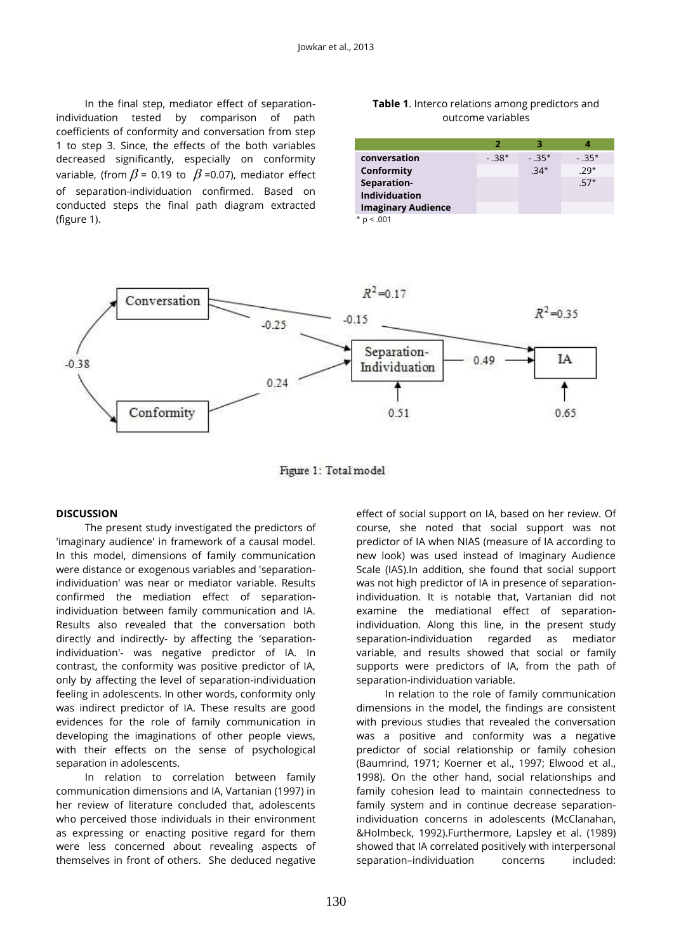In the final step, mediator effect of separationindividuation tested by comparison of path coefficients of conformity and conversation from step 1 to step 3. Since, the effects of the both variables decreased significantly, especially on conformity variable, (from  $\beta$  = 0.19 to  $\ \beta$  =0.07), mediator effect of separation-individuation confirmed. Based on conducted steps the final path diagram extracted (figure 1).

#### **Table 1**. Interco relations among predictors and outcome variables

|                           | 2       |         |         |
|---------------------------|---------|---------|---------|
| conversation              | $-.38*$ | $-.35*$ | $-.35*$ |
| Conformity                |         | $.34*$  | $.29*$  |
| Separation-               |         |         | $.57*$  |
| <b>Individuation</b>      |         |         |         |
| <b>Imaginary Audience</b> |         |         |         |

 $p < 0.001$ 



Figure 1: Total model

#### **DISCUSSION**

The present study investigated the predictors of 'imaginary audience' in framework of a causal model. In this model, dimensions of family communication were distance or exogenous variables and 'separationindividuation' was near or mediator variable. Results confirmed the mediation effect of separationindividuation between family communication and IA. Results also revealed that the conversation both directly and indirectly- by affecting the 'separationindividuation'- was negative predictor of IA. In contrast, the conformity was positive predictor of IA, only by affecting the level of separation-individuation feeling in adolescents. In other words, conformity only was indirect predictor of IA. These results are good evidences for the role of family communication in developing the imaginations of other people views, with their effects on the sense of psychological separation in adolescents.

In relation to correlation between family communication dimensions and IA, Vartanian (1997) in her review of literature concluded that, adolescents who perceived those individuals in their environment as expressing or enacting positive regard for them were less concerned about revealing aspects of themselves in front of others. She deduced negative

effect of social support on IA, based on her review. Of course, she noted that social support was not predictor of IA when NIAS (measure of IA according to new look) was used instead of Imaginary Audience Scale (IAS).In addition, she found that social support was not high predictor of IA in presence of separationindividuation. It is notable that, Vartanian did not examine the mediational effect of separationindividuation. Along this line, in the present study separation-individuation regarded as mediator variable, and results showed that social or family supports were predictors of IA, from the path of separation-individuation variable.

In relation to the role of family communication dimensions in the model, the findings are consistent with previous studies that revealed the conversation was a positive and conformity was a negative predictor of social relationship or family cohesion (Baumrind, 1971; Koerner et al., 1997; Elwood et al., 1998). On the other hand, social relationships and family cohesion lead to maintain connectedness to family system and in continue decrease separationindividuation concerns in adolescents (McClanahan, &Holmbeck, 1992).Furthermore, Lapsley et al. (1989) showed that IA correlated positively with interpersonal separation–individuation concerns included: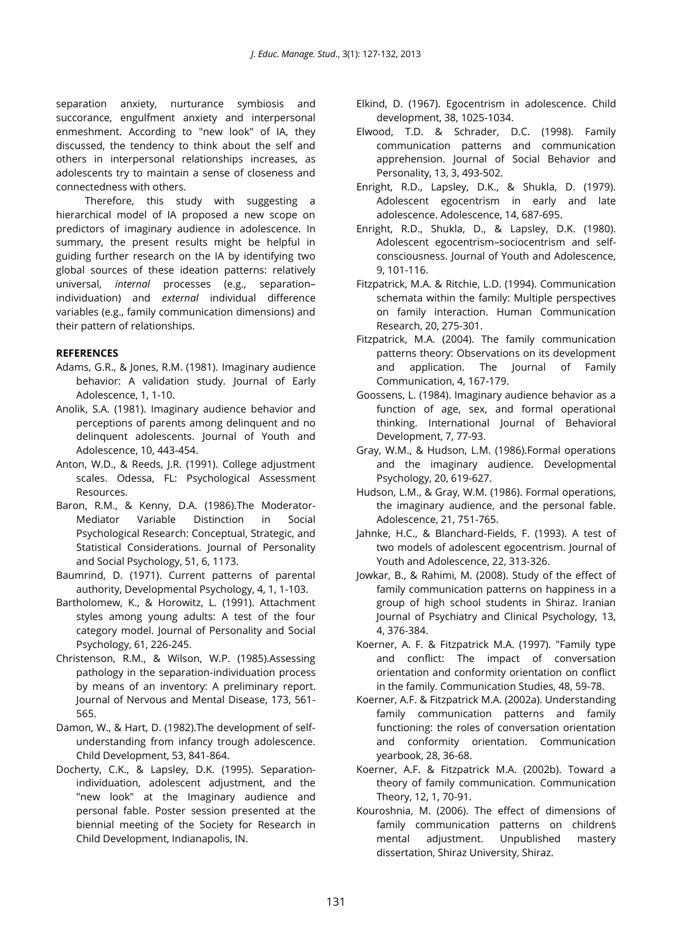separation anxiety, nurturance symbiosis and succorance, engulfment anxiety and interpersonal enmeshment. According to "new look" of IA, they discussed, the tendency to think about the self and others in interpersonal relationships increases, as adolescents try to maintain a sense of closeness and connectedness with others.

Therefore, this study with suggesting a hierarchical model of IA proposed a new scope on predictors of imaginary audience in adolescence. In summary, the present results might be helpful in guiding further research on the IA by identifying two global sources of these ideation patterns: relatively universal, *internal* processes (e.g., separation– individuation) and *external* individual difference variables (e.g., family communication dimensions) and their pattern of relationships.

### **REFERENCES**

- Adams, G.R., & Jones, R.M. (1981). Imaginary audience behavior: A validation study. Journal of Early Adolescence, 1, 1-10.
- Anolik, S.A. (1981). Imaginary audience behavior and perceptions of parents among delinquent and no delinquent adolescents. Journal of Youth and Adolescence, 10, 443-454.
- Anton, W.D., & Reeds, J.R. (1991). College adjustment scales. Odessa, FL: Psychological Assessment Resources.
- Baron, R.M., & Kenny, D.A. (1986)[.The Moderator-](http://proquest.umi.com/pqdweb?index=0&did=2852126&SrchMode=2&sid=3&Fmt=2&VInst=PROD&VType=PQD&RQT=309&VName=PQD&TS=1220417838&clientId=46449)[Mediator Variable Distinction in Social](http://proquest.umi.com/pqdweb?index=0&did=2852126&SrchMode=2&sid=3&Fmt=2&VInst=PROD&VType=PQD&RQT=309&VName=PQD&TS=1220417838&clientId=46449)  [Psychological Research: Conceptual, Strategic, and](http://proquest.umi.com/pqdweb?index=0&did=2852126&SrchMode=2&sid=3&Fmt=2&VInst=PROD&VType=PQD&RQT=309&VName=PQD&TS=1220417838&clientId=46449)  [Statistical Considerations.](http://proquest.umi.com/pqdweb?index=0&did=2852126&SrchMode=2&sid=3&Fmt=2&VInst=PROD&VType=PQD&RQT=309&VName=PQD&TS=1220417838&clientId=46449) Journal of Personality and Social Psychology, 51, 6, 1173.
- Baumrind, D. (1971). Current patterns of parental authority, Developmental Psychology, 4, 1, 1-103.
- Bartholomew, K., & Horowitz, L. (1991). Attachment styles among young adults: A test of the four category model. Journal of Personality and Social Psychology, 61, 226-245.
- Christenson, R.M., & Wilson, W.P. (1985).Assessing pathology in the separation-individuation process by means of an inventory: A preliminary report. Journal of Nervous and Mental Disease, 173, 561- 565.
- Damon, W., & Hart, D. (1982).The development of selfunderstanding from infancy trough adolescence. Child Development, 53, 841-864.
- Docherty, C.K., & Lapsley, D.K. (1995). Separationindividuation, adolescent adjustment, and the "new look" at the Imaginary audience and personal fable. Poster session presented at the biennial meeting of the Society for Research in Child Development, Indianapolis, IN.
- Elkind, D. (1967). Egocentrism in adolescence. Child development, 38, 1025-1034.
- Elwood, T.D. & Schrader, D.C. (1998). Family communication patterns and communication apprehension. Journal of Social Behavior and Personality, 13, 3, 493-502.
- Enright, R.D., Lapsley, D.K., & Shukla, D. (1979). Adolescent egocentrism in early and late adolescence. Adolescence, 14, 687-695.
- Enright, R.D., Shukla, D., & Lapsley, D.K. (1980). Adolescent egocentrism–sociocentrism and selfconsciousness. Journal of Youth and Adolescence, 9, 101-116.
- Fitzpatrick, M.A. & Ritchie, L.D. (1994). Communication schemata within the family: Multiple perspectives on family interaction. Human Communication Research, 20, 275-301.
- Fitzpatrick, M.A. (2004). The family communication patterns theory: Observations on its development and application. The Journal of Family Communication, 4, 167-179.
- Goossens, L. (1984). Imaginary audience behavior as a function of age, sex, and formal operational thinking. International Journal of Behavioral Development, 7, 77-93.
- Gray, W.M., & Hudson, L.M. (1986).Formal operations and the imaginary audience. Developmental Psychology, 20, 619-627.
- Hudson, L.M., & Gray, W.M. (1986). Formal operations, the imaginary audience, and the personal fable. Adolescence, 21, 751-765.
- Jahnke, H.C., & Blanchard-Fields, F. (1993). A test of two models of adolescent egocentrism. Journal of Youth and Adolescence, 22, 313-326.
- Jowkar, B., & Rahimi, M. (2008). Study of the effect of family communication patterns on happiness in a group of high school students in Shiraz. Iranian Journal of Psychiatry and Clinical Psychology, 13, 4, 376-384.
- Koerner, A. F. & Fitzpatrick M.A. (1997). "Family type and conflict: The impact of conversation orientation and conformity orientation on conflict in the family. Communication Studies, 48, 59-78.
- Koerner, A.F. & Fitzpatrick M.A. (2002a). Understanding family communication patterns and family functioning: the roles of conversation orientation and conformity orientation. Communication yearbook, 28, 36-68.
- Koerner, A.F. & Fitzpatrick M.A. (2002b). Toward a theory of family communication. Communication Theory, 12, 1, 70-91.
- Kouroshnia, M. (2006). The effect of dimensions of family communication patterns on childrens mental adjustment. Unpublished mastery dissertation, Shiraz University, Shiraz.